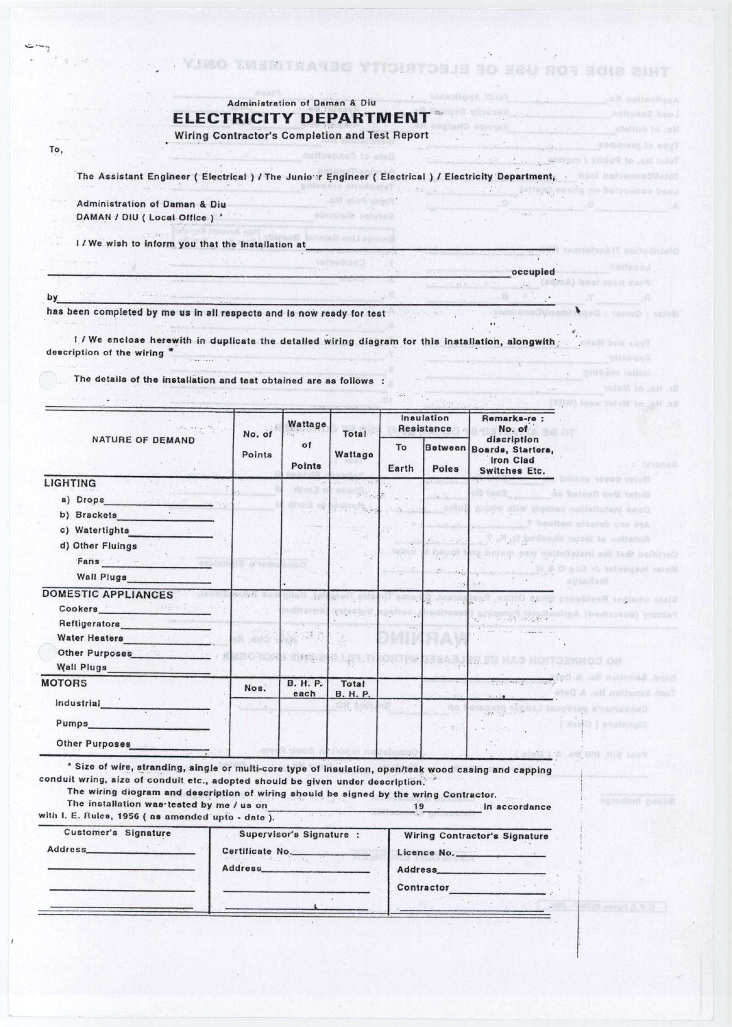|  |  |  |  |  | Administration of Daman & Diu |  |  |  |  |  |
|--|--|--|--|--|-------------------------------|--|--|--|--|--|
|  |  |  |  |  | ELECTRICITY DEPARTMENT        |  |  |  |  |  |
|  |  |  |  |  |                               |  |  |  |  |  |

Wiring Contractor's Completion and Test Report

The Assistant **Engineer** ( **Electrical** ) / The Junio **r Engineer** ( **Electrical** / **Electricity Department;.**

sonarallo in

**occupied**

 $\sim$ 

 $\mathbb{Z}$  .

 $\overbrace{\hspace{25mm}}$  ,  $\overbrace{\hspace{25mm}}$  ,  $\overbrace{\hspace{25mm}}$  ,  $\overbrace{\hspace{25mm}}$  ,  $\overbrace{\hspace{25mm}}$  ,  $\overbrace{\hspace{25mm}}$  ,  $\overbrace{\hspace{25mm}}$ 

 $\mathcal{D}$ 

the AMS and Seats and Administration

georg  $\overline{\mathbf{r}}$ 

 $\sim$ 

. VINO TWERTRASSO YTICHATOBJE BO BEU NOS BOIS CIHT

 $1.1111$ 

**1**

. gnibarr leitini

Administration **of Daman & Diu** DAMAN / DIU ( Local Office) '

I / We wish to Inform you that the **Installation at**

by

**To,**

 $\sim -\frac{1}{2}$ 

has been completed by me us in all respects and is now ready for test

I I We enclose herewith **in duplicate** the detailed wiring diagram for this **installation** , **alongwith,** description of the wiring \*

The details **of the Installation and test** obtained **are as follows :**

| <b>NATURE OF DEMAND</b><br>LIGHTING<br>a) Drops<br>$\label{eq:1.1} \begin{split} \begin{bmatrix} \mathbf{1} & \mathbf{1} & \mathbf{1} & \mathbf{1} & \mathbf{1} & \mathbf{1} & \mathbf{1} & \mathbf{1} & \mathbf{1} & \mathbf{1} & \mathbf{1} & \mathbf{1} & \mathbf{1} & \mathbf{1} & \mathbf{1} & \mathbf{1} & \mathbf{1} & \mathbf{1} & \mathbf{1} & \mathbf{1} & \mathbf{1} & \mathbf{1} & \mathbf{1} & \mathbf{1} & \mathbf{1} & \mathbf{1} & \mathbf{1} & \mathbf{1} & \mathbf{$<br>c) Watertights<br>d) Other Fluings<br>Fans and the second contract of the second second second second second second second second second second second second second second second second second second second second second second second second second second seco<br>Wall Plugs and the Wall Plugs<br><b>DOMESTIC APPLIANCES</b><br><b>Water Heaters</b><br>Other Purposes <b>Committee Committee Committee</b><br>Wall Plugs_<br><b>MOTORS</b><br><i><u><b>Industrial</b></u></i><br><b>Pumps Example 2018</b><br><b>Other Purposes</b> | Points<br><b>MAGES</b><br>Nos. | o <sub>f</sub><br>Points<br><b>Alvelik</b><br>dite is of<br>263 1 42<br><b>CONTRACTOR</b><br><b>B. H. P.</b> | Wattage<br>Y NEW ROAD                                                                                                                                                                                                                                                                                                                                                                                                              | To<br>Earth<br>Jelett<br>as any<br>$15.8 - 11 - 18$ | Poles          | discription<br>Between Boards, Starters,<br>Iron Clad<br>kransk<br><b>Switches Etc.</b><br>Aca asyoc totol<br>A. J. R. Lawrence<br>no bales2 xo5 1stell<br>prints incherched come will and the<br>beolion closiab one orA-<br>A bedseds which to notioned<br>Certified that the Installation wer, but<br>A C pnd W winesed wood<br>sotadan<br>State where Residence Shop District<br>Factory (destinad) Agitary experience<br>NO CONSCITED MAN SAN BE |  |  |  |
|---------------------------------------------------------------------------------------------------------------------------------------------------------------------------------------------------------------------------------------------------------------------------------------------------------------------------------------------------------------------------------------------------------------------------------------------------------------------------------------------------------------------------------------------------------------------------------------------------------------------------------------------------------------------------------------------------------------------------------------------------------------------------------------------------------------------------------------------------------------------------------------------------------------------------------------------------------------------------------------------------------------------------------------|--------------------------------|--------------------------------------------------------------------------------------------------------------|------------------------------------------------------------------------------------------------------------------------------------------------------------------------------------------------------------------------------------------------------------------------------------------------------------------------------------------------------------------------------------------------------------------------------------|-----------------------------------------------------|----------------|-------------------------------------------------------------------------------------------------------------------------------------------------------------------------------------------------------------------------------------------------------------------------------------------------------------------------------------------------------------------------------------------------------------------------------------------------------|--|--|--|
|                                                                                                                                                                                                                                                                                                                                                                                                                                                                                                                                                                                                                                                                                                                                                                                                                                                                                                                                                                                                                                       |                                |                                                                                                              |                                                                                                                                                                                                                                                                                                                                                                                                                                    |                                                     |                |                                                                                                                                                                                                                                                                                                                                                                                                                                                       |  |  |  |
|                                                                                                                                                                                                                                                                                                                                                                                                                                                                                                                                                                                                                                                                                                                                                                                                                                                                                                                                                                                                                                       |                                |                                                                                                              |                                                                                                                                                                                                                                                                                                                                                                                                                                    |                                                     |                |                                                                                                                                                                                                                                                                                                                                                                                                                                                       |  |  |  |
|                                                                                                                                                                                                                                                                                                                                                                                                                                                                                                                                                                                                                                                                                                                                                                                                                                                                                                                                                                                                                                       |                                |                                                                                                              |                                                                                                                                                                                                                                                                                                                                                                                                                                    |                                                     |                |                                                                                                                                                                                                                                                                                                                                                                                                                                                       |  |  |  |
|                                                                                                                                                                                                                                                                                                                                                                                                                                                                                                                                                                                                                                                                                                                                                                                                                                                                                                                                                                                                                                       |                                |                                                                                                              |                                                                                                                                                                                                                                                                                                                                                                                                                                    |                                                     |                |                                                                                                                                                                                                                                                                                                                                                                                                                                                       |  |  |  |
|                                                                                                                                                                                                                                                                                                                                                                                                                                                                                                                                                                                                                                                                                                                                                                                                                                                                                                                                                                                                                                       |                                |                                                                                                              |                                                                                                                                                                                                                                                                                                                                                                                                                                    |                                                     |                |                                                                                                                                                                                                                                                                                                                                                                                                                                                       |  |  |  |
|                                                                                                                                                                                                                                                                                                                                                                                                                                                                                                                                                                                                                                                                                                                                                                                                                                                                                                                                                                                                                                       |                                |                                                                                                              |                                                                                                                                                                                                                                                                                                                                                                                                                                    |                                                     |                |                                                                                                                                                                                                                                                                                                                                                                                                                                                       |  |  |  |
|                                                                                                                                                                                                                                                                                                                                                                                                                                                                                                                                                                                                                                                                                                                                                                                                                                                                                                                                                                                                                                       |                                |                                                                                                              |                                                                                                                                                                                                                                                                                                                                                                                                                                    |                                                     |                |                                                                                                                                                                                                                                                                                                                                                                                                                                                       |  |  |  |
|                                                                                                                                                                                                                                                                                                                                                                                                                                                                                                                                                                                                                                                                                                                                                                                                                                                                                                                                                                                                                                       |                                |                                                                                                              |                                                                                                                                                                                                                                                                                                                                                                                                                                    |                                                     |                |                                                                                                                                                                                                                                                                                                                                                                                                                                                       |  |  |  |
|                                                                                                                                                                                                                                                                                                                                                                                                                                                                                                                                                                                                                                                                                                                                                                                                                                                                                                                                                                                                                                       |                                |                                                                                                              |                                                                                                                                                                                                                                                                                                                                                                                                                                    |                                                     |                |                                                                                                                                                                                                                                                                                                                                                                                                                                                       |  |  |  |
|                                                                                                                                                                                                                                                                                                                                                                                                                                                                                                                                                                                                                                                                                                                                                                                                                                                                                                                                                                                                                                       |                                |                                                                                                              |                                                                                                                                                                                                                                                                                                                                                                                                                                    |                                                     |                |                                                                                                                                                                                                                                                                                                                                                                                                                                                       |  |  |  |
|                                                                                                                                                                                                                                                                                                                                                                                                                                                                                                                                                                                                                                                                                                                                                                                                                                                                                                                                                                                                                                       |                                |                                                                                                              |                                                                                                                                                                                                                                                                                                                                                                                                                                    |                                                     |                |                                                                                                                                                                                                                                                                                                                                                                                                                                                       |  |  |  |
|                                                                                                                                                                                                                                                                                                                                                                                                                                                                                                                                                                                                                                                                                                                                                                                                                                                                                                                                                                                                                                       |                                |                                                                                                              |                                                                                                                                                                                                                                                                                                                                                                                                                                    |                                                     |                |                                                                                                                                                                                                                                                                                                                                                                                                                                                       |  |  |  |
|                                                                                                                                                                                                                                                                                                                                                                                                                                                                                                                                                                                                                                                                                                                                                                                                                                                                                                                                                                                                                                       |                                |                                                                                                              |                                                                                                                                                                                                                                                                                                                                                                                                                                    |                                                     |                |                                                                                                                                                                                                                                                                                                                                                                                                                                                       |  |  |  |
|                                                                                                                                                                                                                                                                                                                                                                                                                                                                                                                                                                                                                                                                                                                                                                                                                                                                                                                                                                                                                                       |                                |                                                                                                              |                                                                                                                                                                                                                                                                                                                                                                                                                                    |                                                     |                |                                                                                                                                                                                                                                                                                                                                                                                                                                                       |  |  |  |
|                                                                                                                                                                                                                                                                                                                                                                                                                                                                                                                                                                                                                                                                                                                                                                                                                                                                                                                                                                                                                                       |                                |                                                                                                              | Total                                                                                                                                                                                                                                                                                                                                                                                                                              |                                                     |                | <b>MO &amp; of notones box3</b>                                                                                                                                                                                                                                                                                                                                                                                                                       |  |  |  |
|                                                                                                                                                                                                                                                                                                                                                                                                                                                                                                                                                                                                                                                                                                                                                                                                                                                                                                                                                                                                                                       |                                | each                                                                                                         | <b>B. H. P.</b>                                                                                                                                                                                                                                                                                                                                                                                                                    |                                                     |                | efsü ji .eK naliansi nasi                                                                                                                                                                                                                                                                                                                                                                                                                             |  |  |  |
|                                                                                                                                                                                                                                                                                                                                                                                                                                                                                                                                                                                                                                                                                                                                                                                                                                                                                                                                                                                                                                       |                                |                                                                                                              | $\label{eq:1} \begin{array}{ccccc} \mathbf{1} & \mathbf{1} & \mathbf{1} & \mathbf{1} & \mathbf{1} & \mathbf{1} & \mathbf{1} & \mathbf{1} & \mathbf{1} & \mathbf{1} & \mathbf{1} & \mathbf{1} & \mathbf{1} & \mathbf{1} & \mathbf{1} & \mathbf{1} & \mathbf{1} & \mathbf{1} & \mathbf{1} & \mathbf{1} & \mathbf{1} & \mathbf{1} & \mathbf{1} & \mathbf{1} & \mathbf{1} & \mathbf{1} & \mathbf{1} & \mathbf{1} & \mathbf{1} & \math$ |                                                     |                | lancetett a famuenod                                                                                                                                                                                                                                                                                                                                                                                                                                  |  |  |  |
|                                                                                                                                                                                                                                                                                                                                                                                                                                                                                                                                                                                                                                                                                                                                                                                                                                                                                                                                                                                                                                       |                                |                                                                                                              |                                                                                                                                                                                                                                                                                                                                                                                                                                    |                                                     | 35             | ( Kuto ) swhing??                                                                                                                                                                                                                                                                                                                                                                                                                                     |  |  |  |
|                                                                                                                                                                                                                                                                                                                                                                                                                                                                                                                                                                                                                                                                                                                                                                                                                                                                                                                                                                                                                                       |                                |                                                                                                              |                                                                                                                                                                                                                                                                                                                                                                                                                                    |                                                     |                |                                                                                                                                                                                                                                                                                                                                                                                                                                                       |  |  |  |
| * Size of wire, stranding, single or multi-core type of insulation, open/teak wood casing and capping<br>conduit wring, size of conduit etc., adopted should be given under description.<br>The wiring diogram and description of wiring should be signed by the wring Contractor.<br>The installation was tested by me / us on<br>with I. E. Rules, 1956 (as amended upto - date).                                                                                                                                                                                                                                                                                                                                                                                                                                                                                                                                                                                                                                                   |                                |                                                                                                              |                                                                                                                                                                                                                                                                                                                                                                                                                                    | 19                                                  |                | collid ow H8 H8 is 13<br>oppodent pallis<br>in accordance                                                                                                                                                                                                                                                                                                                                                                                             |  |  |  |
| Customer's Signature                                                                                                                                                                                                                                                                                                                                                                                                                                                                                                                                                                                                                                                                                                                                                                                                                                                                                                                                                                                                                  |                                | Supervisor's Signature :                                                                                     |                                                                                                                                                                                                                                                                                                                                                                                                                                    |                                                     |                | <b>Wiring Contractor's Signature</b>                                                                                                                                                                                                                                                                                                                                                                                                                  |  |  |  |
|                                                                                                                                                                                                                                                                                                                                                                                                                                                                                                                                                                                                                                                                                                                                                                                                                                                                                                                                                                                                                                       |                                | Certificate No.                                                                                              |                                                                                                                                                                                                                                                                                                                                                                                                                                    |                                                     |                | Licence No.                                                                                                                                                                                                                                                                                                                                                                                                                                           |  |  |  |
|                                                                                                                                                                                                                                                                                                                                                                                                                                                                                                                                                                                                                                                                                                                                                                                                                                                                                                                                                                                                                                       | Address                        |                                                                                                              |                                                                                                                                                                                                                                                                                                                                                                                                                                    |                                                     | <b>Address</b> |                                                                                                                                                                                                                                                                                                                                                                                                                                                       |  |  |  |
|                                                                                                                                                                                                                                                                                                                                                                                                                                                                                                                                                                                                                                                                                                                                                                                                                                                                                                                                                                                                                                       |                                |                                                                                                              |                                                                                                                                                                                                                                                                                                                                                                                                                                    |                                                     |                | <b>Contractor Contractor</b>                                                                                                                                                                                                                                                                                                                                                                                                                          |  |  |  |
|                                                                                                                                                                                                                                                                                                                                                                                                                                                                                                                                                                                                                                                                                                                                                                                                                                                                                                                                                                                                                                       |                                |                                                                                                              |                                                                                                                                                                                                                                                                                                                                                                                                                                    |                                                     |                |                                                                                                                                                                                                                                                                                                                                                                                                                                                       |  |  |  |